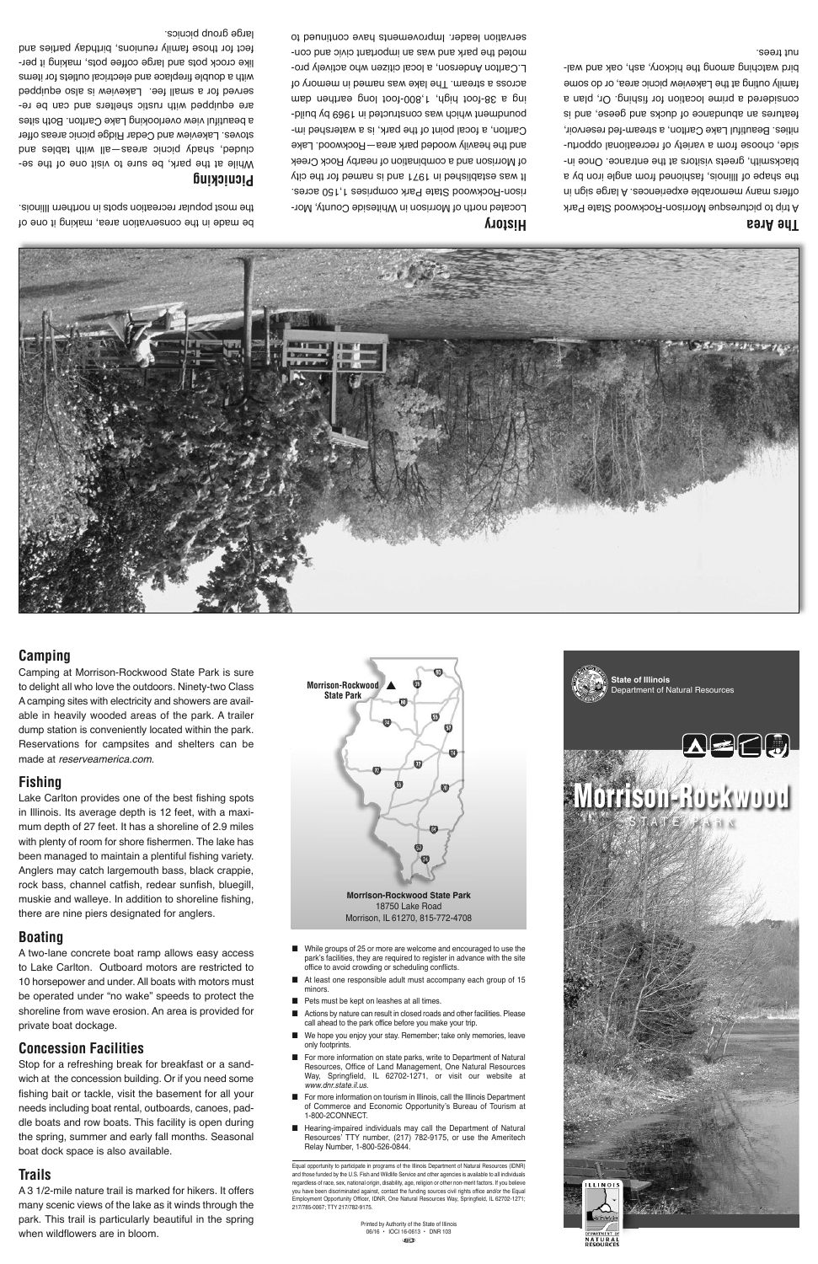## **The Area**

A trip to picturesque Morrison-Rockwood State Park offers many memorable experiences. A large sign in the shape of Illinois, fashioned from angle iron by a blacksmith, greets visitors at the entrance. Once inside, choose from a variety of recreational opportunities. Beautiful Lake Carlton, a stream-fed reservoir, features an abundance of ducks and geese, and is considered a prime location for fishing. Or, plan a family outing at the Lakeview picnic area, or do some bird watching among the hickory, ash, oak and walnut trees.

# **History**

Located north of Morrison in Whiteside County, Morrison-Rockwood State Park comprises 1,150 acres. It was established in 1971 and is named for the city of Morrison and a combination of nearby Rock Creek and the heavily wooded park area—Rockwood. Lake Carlton, a focal point of the park, is a watershed impoundment which was constructed in 1969 by building a 38-foot high, 1,800-foot long earthen dam across a stream. The lake was named in memory of L.Carlton Anderson, a local citizen who actively promoted the park and was an important civic and conservation leader. Improvements have continued to

be made in the conservation area, making it one of the most popular recreation spots in northern Illinois.

#### **Picnicking**

While at the park, be sure to visit one of the secluded, shady picnic areas—all with tables and stoves. Lakeview and Cedar Ridge picnic areas offer a beautiful view overlooking Lake Carlton. Both sites are equipped with rustic shelters and can be reserved for a small fee. Lakeview is also equipped with a double fireplace and electrical outlets for items like crock pots and large coffee pots, making it perfect for those family reunions, birthday parties and large group picnics.

**Camping**

■ While groups of 25 or more are welcome and encouraged to use the park's facilities, they are required to register in advance with the site office to avoid crowding or scheduling conflicts.

Camping at Morrison-Rockwood State Park is sure to delight all who love the outdoors. Ninety-two Class A camping sites with electricity and showers are available in heavily wooded areas of the park. A trailer dump station is conveniently located within the park. Reservations for campsites and shelters can be

made at *reserveamerica.com*.

**Fishing**

Lake Carlton provides one of the best fishing spots

- At least one responsible adult must accompany each group of 15 minors.
- Pets must be kept on leashes at all times.
- Actions by nature can result in closed roads and other facilities. Please call ahead to the park office before you make your trip.
- We hope you enjoy your stay. Remember; take only memories, leave only footprints.
- For more information on state parks, write to Department of Natural Resources, Office of Land Management, One Natural Resources Way, Springfield, IL 62702-1271, or visit our website at *www.dnr.state.il.us*.
- For more information on tourism in Illinois, call the Illinois Department of Commerce and Economic Opportunity's Bureau of Tourism at 1-800-2CONNECT.
- Hearing-impaired individuals may call the Department of Natural Resources' TTY number, (217) 782-9175, or use the Ameritech Relay Number, 1-800-526-0844.

in Illinois. Its average depth is 12 feet, with a maximum depth of 27 feet. It has a shoreline of 2.9 miles with plenty of room for shore fishermen. The lake has been managed to maintain a plentiful fishing variety. Anglers may catch largemouth bass, black crappie, rock bass, channel catfish, redear sunfish, bluegill, muskie and walleye. In addition to shoreline fishing, there are nine piers designated for anglers.

## **Boating**

A two-lane concrete boat ramp allows easy access to Lake Carlton. Outboard motors are restricted to 10 horsepower and under. All boats with motors must be operated under "no wake" speeds to protect the shoreline from wave erosion. An area is provided for private boat dockage.

# **Concession Facilities**

Stop for a refreshing break for breakfast or a sandwich at the concession building. Or if you need some fishing bait or tackle, visit the basement for all your needs including boat rental, outboards, canoes, paddle boats and row boats. This facility is open during the spring, summer and early fall months. Seasonal boat dock space is also available.

# **Trails**

A 3 1/2-mile nature trail is marked for hikers. It offers many scenic views of the lake as it winds through the park. This trail is particularly beautiful in the spring when wildflowers are in bloom.

**Morrison-Rockwood State Park**  $\bullet$ **Morrison-Rockwood State Park**

> 18750 Lake Road Morrison, IL 61270, 815-772-4708

Equal opportunity to participate in programs of the Illinois Department of Natural Resources (IDNR) and those funded by the U.S. Fish and Wildlife Service and other agencies is available to all individuals regardless of race, sex, national origin, disability, age, religion or other non-merit factors. If you believe you have been discriminated against, contact the funding sources civil rights office and/or the Equal Employment Opportunity Officer, IDNR, One Natural Resources Way, Springfield, IL 62702-1271; 217/785-0067; TTY 217/782-9175.